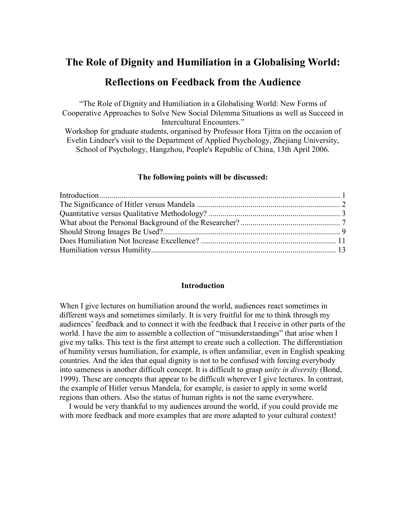# **The Role of Dignity and Humiliation in a Globalising World:**

# **Reflections on Feedback from the Audience**

"The Role of Dignity and Humiliation in a Globalising World: New Forms of Cooperative Approaches to Solve New Social Dilemma Situations as well as Succeed in Intercultural Encounters."

Workshop for graduate students, organised by Professor Hora Tjitra on the occasion of Evelin Lindner's visit to the Department of Applied Psychology, Zhejiang University, School of Psychology, Hangzhou, People's Republic of China, 13th April 2006.

#### **The following points will be discussed:**

#### **Introduction**

<span id="page-0-0"></span>When I give lectures on humiliation around the world, audiences react sometimes in different ways and sometimes similarly. It is very fruitful for me to think through my audiences' feedback and to connect it with the feedback that I receive in other parts of the world. I have the aim to assemble a collection of "misunderstandings" that arise when I give my talks. This text is the first attempt to create such a collection. The differentiation of humility versus humiliation, for example, is often unfamiliar, even in English speaking countries. And the idea that equal dignity is not to be confused with forcing everybody into sameness is another difficult concept. It is difficult to grasp *unity in diversity* (Bond, 1999). These are concepts that appear to be difficult wherever I give lectures. In contrast, the example of Hitler versus Mandela, for example, is easier to apply in some world regions than others. Also the status of human rights is not the same everywhere.

I would be very thankful to my audiences around the world, if you could provide me with more feedback and more examples that are more adapted to your cultural context!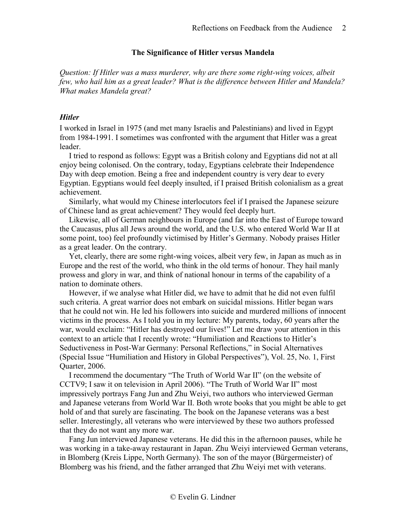#### **The Significance of Hitler versus Mandela**

<span id="page-1-0"></span>*Question: If Hitler was a mass murderer, why are there some right-wing voices, albeit few, who hail him as a great leader? What is the difference between Hitler and Mandela? What makes Mandela great?*

## *Hitler*

I worked in Israel in 1975 (and met many Israelis and Palestinians) and lived in Egypt from 1984-1991. I sometimes was confronted with the argument that Hitler was a great leader.

I tried to respond as follows: Egypt was a British colony and Egyptians did not at all enjoy being colonised. On the contrary, today, Egyptians celebrate their Independence Day with deep emotion. Being a free and independent country is very dear to every Egyptian. Egyptians would feel deeply insulted, if I praised British colonialism as a great achievement.

Similarly, what would my Chinese interlocutors feel if I praised the Japanese seizure of Chinese land as great achievement? They would feel deeply hurt.

Likewise, all of German neighbours in Europe (and far into the East of Europe toward the Caucasus, plus all Jews around the world, and the U.S. who entered World War II at some point, too) feel profoundly victimised by Hitler's Germany. Nobody praises Hitler as a great leader. On the contrary.

Yet, clearly, there are some right-wing voices, albeit very few, in Japan as much as in Europe and the rest of the world, who think in the old terms of honour. They hail manly prowess and glory in war, and think of national honour in terms of the capability of a nation to dominate others.

However, if we analyse what Hitler did, we have to admit that he did not even fulfil such criteria. A great warrior does not embark on suicidal missions. Hitler began wars that he could not win. He led his followers into suicide and murdered millions of innocent victims in the process. As I told you in my lecture: My parents, today, 60 years after the war, would exclaim: "Hitler has destroyed our lives!" Let me draw your attention in this context to an article that I recently wrote: "Humiliation and Reactions to Hitler's Seductiveness in Post-War Germany: Personal Reflections," in Social Alternatives (Special Issue "Humiliation and History in Global Perspectives"), Vol. 25, No. 1, First Quarter, 2006.

I recommend the documentary "The Truth of World War II" (on the website of CCTV9; I saw it on television in April 2006). "The Truth of World War II" most impressively portrays Fang Jun and Zhu Weiyi, two authors who interviewed German and Japanese veterans from World War II. Both wrote books that you might be able to get hold of and that surely are fascinating. The book on the Japanese veterans was a best seller. Interestingly, all veterans who were interviewed by these two authors professed that they do not want any more war.

Fang Jun interviewed Japanese veterans. He did this in the afternoon pauses, while he was working in a take-away restaurant in Japan. Zhu Weiyi interviewed German veterans, in Blomberg (Kreis Lippe, North Germany). The son of the mayor (Bürgermeister) of Blomberg was his friend, and the father arranged that Zhu Weiyi met with veterans.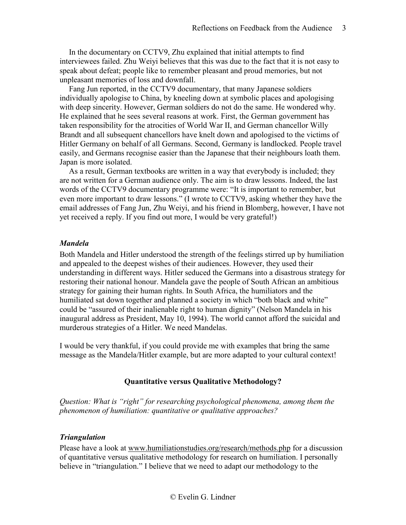In the documentary on CCTV9, Zhu explained that initial attempts to find interviewees failed. Zhu Weiyi believes that this was due to the fact that it is not easy to speak about defeat; people like to remember pleasant and proud memories, but not unpleasant memories of loss and downfall.

Fang Jun reported, in the CCTV9 documentary, that many Japanese soldiers individually apologise to China, by kneeling down at symbolic places and apologising with deep sincerity. However, German soldiers do not do the same. He wondered why. He explained that he sees several reasons at work. First, the German government has taken responsibility for the atrocities of World War II, and German chancellor Willy Brandt and all subsequent chancellors have knelt down and apologised to the victims of Hitler Germany on behalf of all Germans. Second, Germany is landlocked. People travel easily, and Germans recognise easier than the Japanese that their neighbours loath them. Japan is more isolated.

As a result, German textbooks are written in a way that everybody is included; they are not written for a German audience only. The aim is to draw lessons. Indeed, the last words of the CCTV9 documentary programme were: "It is important to remember, but even more important to draw lessons." (I wrote to CCTV9, asking whether they have the email addresses of Fang Jun, Zhu Weiyi, and his friend in Blomberg, however, I have not yet received a reply. If you find out more, I would be very grateful!)

## *Mandela*

Both Mandela and Hitler understood the strength of the feelings stirred up by humiliation and appealed to the deepest wishes of their audiences. However, they used their understanding in different ways. Hitler seduced the Germans into a disastrous strategy for restoring their national honour. Mandela gave the people of South African an ambitious strategy for gaining their human rights. In South Africa, the humiliators and the humiliated sat down together and planned a society in which "both black and white" could be "assured of their inalienable right to human dignity" (Nelson Mandela in his inaugural address as President, May 10, 1994). The world cannot afford the suicidal and murderous strategies of a Hitler. We need Mandelas.

<span id="page-2-0"></span>I would be very thankful, if you could provide me with examples that bring the same message as the Mandela/Hitler example, but are more adapted to your cultural context!

## **Quantitative versus Qualitative Methodology?**

*Question: What is "right" for researching psychological phenomena, among them the phenomenon of humiliation: quantitative or qualitative approaches?*

#### *Triangulation*

Please have a look at [www.humiliationstudies.org/research/methods.php](http://www.humiliationstudies.org/research/methods.php) for a discussion of quantitative versus qualitative methodology for research on humiliation. I personally believe in "triangulation." I believe that we need to adapt our methodology to the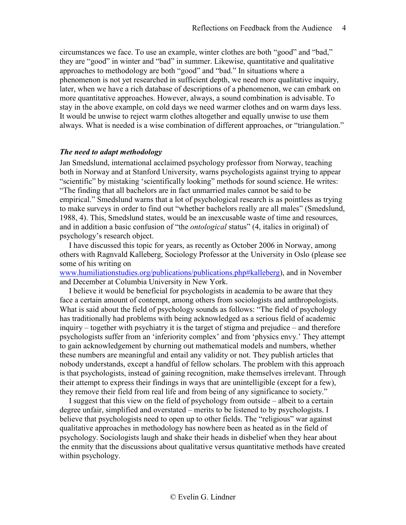circumstances we face. To use an example, winter clothes are both "good" and "bad," they are "good" in winter and "bad" in summer. Likewise, quantitative and qualitative approaches to methodology are both "good" and "bad." In situations where a phenomenon is not yet researched in sufficient depth, we need more qualitative inquiry, later, when we have a rich database of descriptions of a phenomenon, we can embark on more quantitative approaches. However, always, a sound combination is advisable. To stay in the above example, on cold days we need warmer clothes and on warm days less. It would be unwise to reject warm clothes altogether and equally unwise to use them always. What is needed is a wise combination of different approaches, or "triangulation."

#### *The need to adapt methodology*

Jan Smedslund, international acclaimed psychology professor from Norway, teaching both in Norway and at Stanford University, warns psychologists against trying to appear "scientific" by mistaking 'scientifically looking" methods for sound science. He writes: "The finding that all bachelors are in fact unmarried males cannot be said to be empirical." Smedslund warns that a lot of psychological research is as pointless as trying to make surveys in order to find out "whether bachelors really are all males" (Smedslund, 1988, 4). This, Smedslund states, would be an inexcusable waste of time and resources, and in addition a basic confusion of "the *ontological* status" (4, italics in original) of psychology's research object.

I have discussed this topic for years, as recently as October 2006 in Norway, among others with Ragnvald Kalleberg, Sociology Professor at the University in Oslo (please see some of his writing on

[www.humiliationstudies.org/publications/publications.php#kalleberg\)](http://www.humiliationstudies.org/publications/publications.php#kalleberg), and in November and December at Columbia University in New York.

I believe it would be beneficial for psychologists in academia to be aware that they face a certain amount of contempt, among others from sociologists and anthropologists. What is said about the field of psychology sounds as follows: "The field of psychology has traditionally had problems with being acknowledged as a serious field of academic inquiry – together with psychiatry it is the target of stigma and prejudice – and therefore psychologists suffer from an 'inferiority complex' and from 'physics envy.' They attempt to gain acknowledgement by churning out mathematical models and numbers, whether these numbers are meaningful and entail any validity or not. They publish articles that nobody understands, except a handful of fellow scholars. The problem with this approach is that psychologists, instead of gaining recognition, make themselves irrelevant. Through their attempt to express their findings in ways that are unintelligible (except for a few), they remove their field from real life and from being of any significance to society."

I suggest that this view on the field of psychology from outside – albeit to a certain degree unfair, simplified and overstated – merits to be listened to by psychologists. I believe that psychologists need to open up to other fields. The "religious" war against qualitative approaches in methodology has nowhere been as heated as in the field of psychology. Sociologists laugh and shake their heads in disbelief when they hear about the enmity that the discussions about qualitative versus quantitative methods have created within psychology.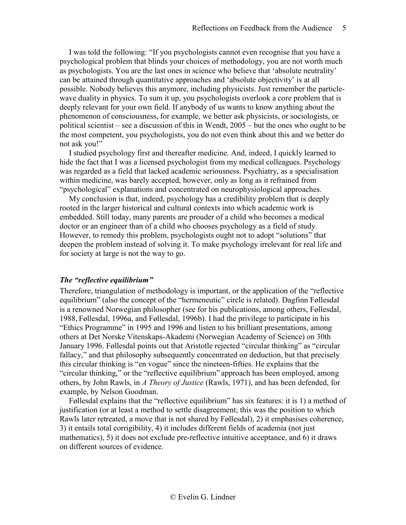I was told the following: "If you psychologists cannot even recognise that you have a psychological problem that blinds your choices of methodology, you are not worth much as psychologists. You are the last ones in science who believe that 'absolute neutrality' can be attained through quantitative approaches and 'absolute objectivity' is at all possible. Nobody believes this anymore, including physicists. Just remember the particlewave duality in physics. To sum it up, you psychologists overlook a core problem that is deeply relevant for your own field. If anybody of us wants to know anything about the phenomenon of consciousness, for example, we better ask physicists, or sociologists, or political scientist – see a discussion of this in Wendt, 2005 – but the ones who ought to be the most competent, you psychologists, you do not even think about this and we better do not ask you!"

I studied psychology first and thereafter medicine. And, indeed, I quickly learned to hide the fact that I was a licensed psychologist from my medical colleagues. Psychology was regarded as a field that lacked academic seriousness. Psychiatry, as a specialisation within medicine, was barely accepted, however, only as long as it refrained from "psychological" explanations and concentrated on neurophysiological approaches.

My conclusion is that, indeed, psychology has a credibility problem that is deeply rooted in the larger historical and cultural contexts into which academic work is embedded. Still today, many parents are prouder of a child who becomes a medical doctor or an engineer than of a child who chooses psychology as a field of study. However, to remedy this problem, psychologists ought not to adopt "solutions" that deepen the problem instead of solving it. To make psychology irrelevant for real life and for society at large is not the way to go.

#### *The "reflective equilibrium"*

Therefore, triangulation of methodology is important, or the application of the "reflective equilibrium" (also the concept of the "hermeneutic" circle is related). Dagfinn Føllesdal is a renowned Norwegian philosopher (see for his publications, among others, Føllesdal, 1988, Føllesdal, 1996a, and Føllesdal, 1996b). I had the privilege to participate in his "Ethics Programme" in 1995 and 1996 and listen to his brilliant presentations, among others at Det Norske Vitenskaps-Akademi (Norwegian Academy of Science) on 30th January 1996. Føllesdal points out that Aristotle rejected "circular thinking" as "circular fallacy," and that philosophy subsequently concentrated on deduction, but that precisely this circular thinking is "en vogue" since the nineteen-fifties. He explains that the "circular thinking," or the "reflective equilibrium" approach has been employed, among others, by John Rawls, in *A Theory of Justice* (Rawls, 1971), and has been defended, for example, by Nelson Goodman.

Føllesdal explains that the "reflective equilibrium" has six features: it is 1) a method of justification (or at least a method to settle disagreement; this was the position to which Rawls later retreated, a move that is not shared by Føllesdal), 2) it emphasises coherence, 3) it entails total corrigibility, 4) it includes different fields of academia (not just mathematics), 5) it does not exclude pre-reflective intuitive acceptance, and 6) it draws on different sources of evidence.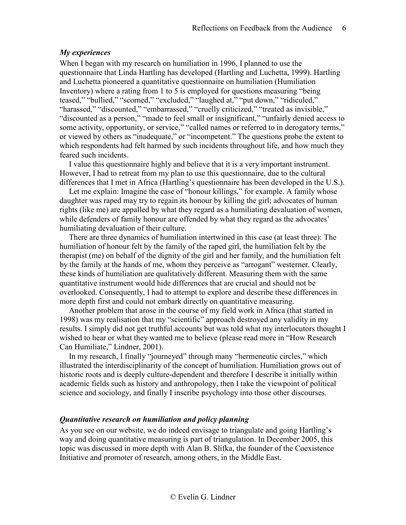## *My experiences*

When I began with my research on humiliation in 1996, I planned to use the questionnaire that Linda Hartling has developed (Hartling and Luchetta, 1999). Hartling and Luchetta pioneered a quantitative questionnaire on humiliation (Humiliation Inventory) where a rating from 1 to 5 is employed for questions measuring "being teased," "bullied," "scorned," "excluded," "laughed at," "put down," "ridiculed," "harassed," "discounted," "embarrassed," "cruelly criticized," "treated as invisible," "discounted as a person," "made to feel small or insignificant," "unfairly denied access to some activity, opportunity, or service," "called names or referred to in derogatory terms," or viewed by others as "inadequate," or "incompetent." The questions probe the extent to which respondents had felt harmed by such incidents throughout life, and how much they feared such incidents.

I value this questionnaire highly and believe that it is a very important instrument. However, I had to retreat from my plan to use this questionnaire, due to the cultural differences that I met in Africa (Hartling's questionnaire has been developed in the U.S.).

Let me explain: Imagine the case of "honour killings," for example. A family whose daughter was raped may try to regain its honour by killing the girl; advocates of human rights (like me) are appalled by what they regard as a humiliating devaluation of women, while defenders of family honour are offended by what they regard as the advocates' humiliating devaluation of their culture.

There are three dynamics of humiliation intertwined in this case (at least three): The humiliation of honour felt by the family of the raped girl, the humiliation felt by the therapist (me) on behalf of the dignity of the girl and her family, and the humiliation felt by the family at the hands of me, whom they perceive as "arrogant" westerner. Clearly, these kinds of humiliation are qualitatively different. Measuring them with the same quantitative instrument would hide differences that are crucial and should not be overlooked. Consequently, I had to attempt to explore and describe these differences in more depth first and could not embark directly on quantitative measuring.

Another problem that arose in the course of my field work in Africa (that started in 1998) was my realisation that my "scientific" approach destroyed any validity in my results. I simply did not get truthful accounts but was told what my interlocutors thought I wished to hear or what they wanted me to believe (please read more in "How Research Can Humiliate," Lindner, 2001).

In my research, I finally "journeyed" through many "hermeneutic circles," which illustrated the interdisciplinarity of the concept of humiliation. Humiliation grows out of historic roots and is deeply culture-dependent and therefore I describe it initially within academic fields such as history and anthropology, then I take the viewpoint of political science and sociology, and finally I inscribe psychology into those other discourses.

## *Quantitative research on humiliation and policy planning*

As you see on our website, we do indeed envisage to triangulate and going Hartling's way and doing quantitative measuring is part of triangulation. In December 2005, this topic was discussed in more depth with Alan B. Slifka, the founder of the Coexistence Initiative and promoter of research, among others, in the Middle East.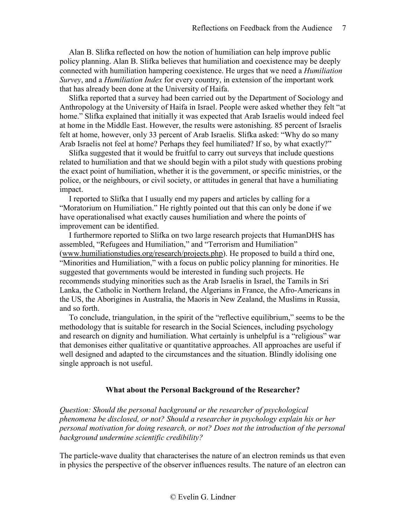Alan B. Slifka reflected on how the notion of humiliation can help improve public policy planning. Alan B. Slifka believes that humiliation and coexistence may be deeply connected with humiliation hampering coexistence. He urges that we need a *Humiliation Survey*, and a *Humiliation Index* for every country, in extension of the important work that has already been done at the University of Haifa.

Slifka reported that a survey had been carried out by the Department of Sociology and Anthropology at the University of Haifa in Israel. People were asked whether they felt "at home." Slifka explained that initially it was expected that Arab Israelis would indeed feel at home in the Middle East. However, the results were astonishing. 85 percent of Israelis felt at home, however, only 33 percent of Arab Israelis. Slifka asked: "Why do so many Arab Israelis not feel at home? Perhaps they feel humiliated? If so, by what exactly?"

Slifka suggested that it would be fruitful to carry out surveys that include questions related to humiliation and that we should begin with a pilot study with questions probing the exact point of humiliation, whether it is the government, or specific ministries, or the police, or the neighbours, or civil society, or attitudes in general that have a humiliating impact.

I reported to Slifka that I usually end my papers and articles by calling for a "Moratorium on Humiliation." He rightly pointed out that this can only be done if we have operationalised what exactly causes humiliation and where the points of improvement can be identified.

I furthermore reported to Slifka on two large research projects that HumanDHS has assembled, "Refugees and Humiliation," and "Terrorism and Humiliation" [\(www.humiliationstudies.org/research/projects.php\)](http://www.humiliationstudies.org/research/projects.php). He proposed to build a third one, "Minorities and Humiliation," with a focus on public policy planning for minorities. He suggested that governments would be interested in funding such projects. He recommends studying minorities such as the Arab Israelis in Israel, the Tamils in Sri Lanka, the Catholic in Northern Ireland, the Algerians in France, the Afro-Americans in the US, the Aborigines in Australia, the Maoris in New Zealand, the Muslims in Russia, and so forth.

To conclude, triangulation, in the spirit of the "reflective equilibrium," seems to be the methodology that is suitable for research in the Social Sciences, including psychology and research on dignity and humiliation. What certainly is unhelpful is a "religious" war that demonises either qualitative or quantitative approaches. All approaches are useful if well designed and adapted to the circumstances and the situation. Blindly idolising one single approach is not useful.

## **What about the Personal Background of the Researcher?**

<span id="page-6-0"></span>*Question: Should the personal background or the researcher of psychological phenomena be disclosed, or not? Should a researcher in psychology explain his or her personal motivation for doing research, or not? Does not the introduction of the personal background undermine scientific credibility?*

The particle-wave duality that characterises the nature of an electron reminds us that even in physics the perspective of the observer influences results. The nature of an electron can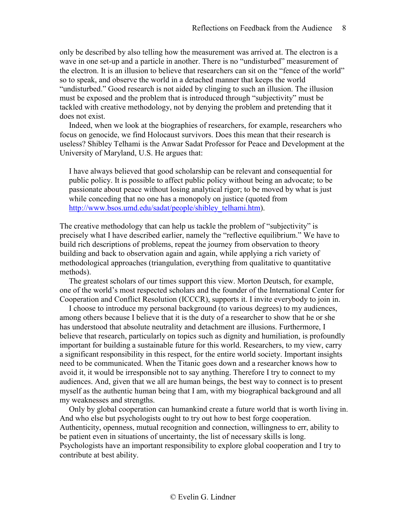only be described by also telling how the measurement was arrived at. The electron is a wave in one set-up and a particle in another. There is no "undisturbed" measurement of the electron. It is an illusion to believe that researchers can sit on the "fence of the world" so to speak, and observe the world in a detached manner that keeps the world "undisturbed." Good research is not aided by clinging to such an illusion. The illusion must be exposed and the problem that is introduced through "subjectivity" must be tackled with creative methodology, not by denying the problem and pretending that it does not exist.

Indeed, when we look at the biographies of researchers, for example, researchers who focus on genocide, we find Holocaust survivors. Does this mean that their research is useless? Shibley Telhami is the Anwar Sadat Professor for Peace and Development at the University of Maryland, U.S. He argues that:

I have always believed that good scholarship can be relevant and consequential for public policy. It is possible to affect public policy without being an advocate; to be passionate about peace without losing analytical rigor; to be moved by what is just while conceding that no one has a monopoly on justice (quoted from [http://www.bsos.umd.edu/sadat/people/shibley\\_telhami.htm\)](http://www.bsos.umd.edu/sadat/people/shibley_telhami.htm).

The creative methodology that can help us tackle the problem of "subjectivity" is precisely what I have described earlier, namely the "reflective equilibrium." We have to build rich descriptions of problems, repeat the journey from observation to theory building and back to observation again and again, while applying a rich variety of methodological approaches (triangulation, everything from qualitative to quantitative methods).

The greatest scholars of our times support this view. Morton Deutsch, for example, one of the world's most respected scholars and the founder of the International Center for Cooperation and Conflict Resolution (ICCCR), supports it. I invite everybody to join in.

I choose to introduce my personal background (to various degrees) to my audiences, among others because I believe that it is the duty of a researcher to show that he or she has understood that absolute neutrality and detachment are illusions. Furthermore, I believe that research, particularly on topics such as dignity and humiliation, is profoundly important for building a sustainable future for this world. Researchers, to my view, carry a significant responsibility in this respect, for the entire world society. Important insights need to be communicated. When the Titanic goes down and a researcher knows how to avoid it, it would be irresponsible not to say anything. Therefore I try to connect to my audiences. And, given that we all are human beings, the best way to connect is to present myself as the authentic human being that I am, with my biographical background and all my weaknesses and strengths.

Only by global cooperation can humankind create a future world that is worth living in. And who else but psychologists ought to try out how to best forge cooperation. Authenticity, openness, mutual recognition and connection, willingness to err, ability to be patient even in situations of uncertainty, the list of necessary skills is long. Psychologists have an important responsibility to explore global cooperation and I try to contribute at best ability.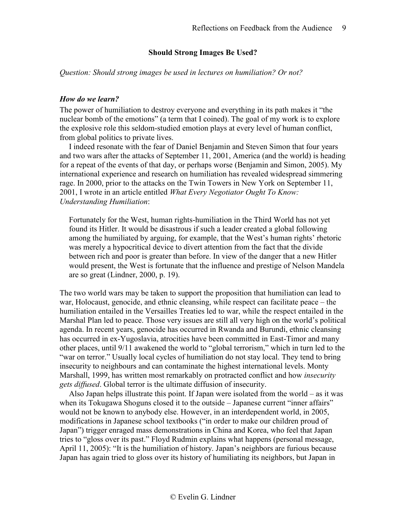## **Should Strong Images Be Used?**

<span id="page-8-0"></span>*Question: Should strong images be used in lectures on humiliation? Or not?*

## *How do we learn?*

The power of humiliation to destroy everyone and everything in its path makes it "the nuclear bomb of the emotions" (a term that I coined). The goal of my work is to explore the explosive role this seldom-studied emotion plays at every level of human conflict, from global politics to private lives.

I indeed resonate with the fear of Daniel Benjamin and Steven Simon that four years and two wars after the attacks of September 11, 2001, America (and the world) is heading for a repeat of the events of that day, or perhaps worse (Benjamin and Simon, 2005). My international experience and research on humiliation has revealed widespread simmering rage. In 2000, prior to the attacks on the Twin Towers in New York on September 11, 2001, I wrote in an article entitled *What Every Negotiator Ought To Know: Understanding Humiliation*:

Fortunately for the West, human rights-humiliation in the Third World has not yet found its Hitler. It would be disastrous if such a leader created a global following among the humiliated by arguing, for example, that the West's human rights' rhetoric was merely a hypocritical device to divert attention from the fact that the divide between rich and poor is greater than before. In view of the danger that a new Hitler would present, the West is fortunate that the influence and prestige of Nelson Mandela are so great (Lindner, 2000, p. 19).

The two world wars may be taken to support the proposition that humiliation can lead to war, Holocaust, genocide, and ethnic cleansing, while respect can facilitate peace – the humiliation entailed in the Versailles Treaties led to war, while the respect entailed in the Marshal Plan led to peace. Those very issues are still all very high on the world's political agenda. In recent years, genocide has occurred in Rwanda and Burundi, ethnic cleansing has occurred in ex-Yugoslavia, atrocities have been committed in East-Timor and many other places, until 9/11 awakened the world to "global terrorism," which in turn led to the "war on terror." Usually local cycles of humiliation do not stay local. They tend to bring insecurity to neighbours and can contaminate the highest international levels. Monty Marshall, 1999, has written most remarkably on protracted conflict and how *insecurity gets diffused*. Global terror is the ultimate diffusion of insecurity.

Also Japan helps illustrate this point. If Japan were isolated from the world – as it was when its Tokugawa Shoguns closed it to the outside – Japanese current "inner affairs" would not be known to anybody else. However, in an interdependent world, in 2005, modifications in Japanese school textbooks ("in order to make our children proud of Japan") trigger enraged mass demonstrations in China and Korea, who feel that Japan tries to "gloss over its past." Floyd Rudmin explains what happens (personal message, April 11, 2005): "It is the humiliation of history. Japan's neighbors are furious because Japan has again tried to gloss over its history of humiliating its neighbors, but Japan in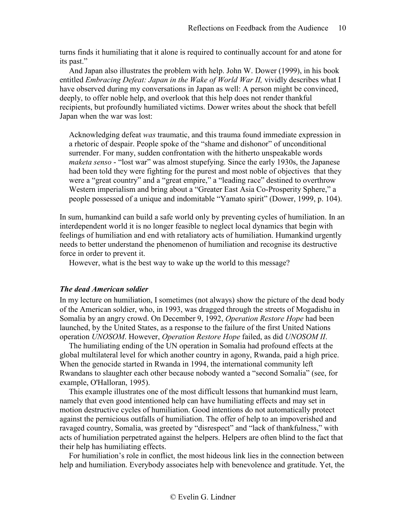turns finds it humiliating that it alone is required to continually account for and atone for its past."

And Japan also illustrates the problem with help. John W. Dower (1999), in his book entitled *Embracing Defeat: Japan in the Wake of World War II*, vividly describes what I have observed during my conversations in Japan as well: A person might be convinced, deeply, to offer noble help, and overlook that this help does not render thankful recipients, but profoundly humiliated victims. Dower writes about the shock that befell Japan when the war was lost:

Acknowledging defeat *was* traumatic, and this trauma found immediate expression in a rhetoric of despair. People spoke of the "shame and dishonor" of unconditional surrender. For many, sudden confrontation with the hitherto unspeakable words *maketa senso* - "lost war" was almost stupefying. Since the early 1930s, the Japanese had been told they were fighting for the purest and most noble of objectives that they were a "great country" and a "great empire," a "leading race" destined to overthrow Western imperialism and bring about a "Greater East Asia Co-Prosperity Sphere," a people possessed of a unique and indomitable "Yamato spirit" (Dower, 1999, p. 104).

In sum, humankind can build a safe world only by preventing cycles of humiliation. In an interdependent world it is no longer feasible to neglect local dynamics that begin with feelings of humiliation and end with retaliatory acts of humiliation. Humankind urgently needs to better understand the phenomenon of humiliation and recognise its destructive force in order to prevent it.

However, what is the best way to wake up the world to this message?

## *The dead American soldier*

In my lecture on humiliation, I sometimes (not always) show the picture of the dead body of the American soldier, who, in 1993, was dragged through the streets of Mogadishu in Somalia by an angry crowd. On December 9, 1992, *Operation Restore Hope* had been launched, by the United States, as a response to the failure of the first United Nations operation *UNOSOM*. However, *Operation Restore Hope* failed, as did *UNOSOM II*.

The humiliating ending of the UN operation in Somalia had profound effects at the global multilateral level for which another country in agony, Rwanda, paid a high price. When the genocide started in Rwanda in 1994, the international community left Rwandans to slaughter each other because nobody wanted a "second Somalia" (see, for example, O'Halloran, 1995).

This example illustrates one of the most difficult lessons that humankind must learn, namely that even good intentioned help can have humiliating effects and may set in motion destructive cycles of humiliation. Good intentions do not automatically protect against the pernicious outfalls of humiliation. The offer of help to an impoverished and ravaged country, Somalia, was greeted by "disrespect" and "lack of thankfulness," with acts of humiliation perpetrated against the helpers. Helpers are often blind to the fact that their help has humiliating effects.

For humiliation's role in conflict, the most hideous link lies in the connection between help and humiliation. Everybody associates help with benevolence and gratitude. Yet, the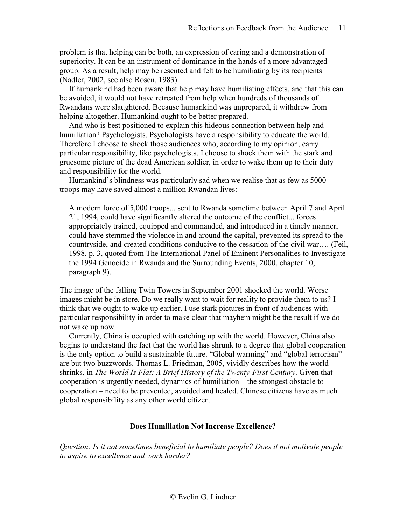problem is that helping can be both, an expression of caring and a demonstration of superiority. It can be an instrument of dominance in the hands of a more advantaged group. As a result, help may be resented and felt to be humiliating by its recipients (Nadler, 2002, see also Rosen, 1983).

If humankind had been aware that help may have humiliating effects, and that this can be avoided, it would not have retreated from help when hundreds of thousands of Rwandans were slaughtered. Because humankind was unprepared, it withdrew from helping altogether. Humankind ought to be better prepared.

And who is best positioned to explain this hideous connection between help and humiliation? Psychologists. Psychologists have a responsibility to educate the world. Therefore I choose to shock those audiences who, according to my opinion, carry particular responsibility, like psychologists. I choose to shock them with the stark and gruesome picture of the dead American soldier, in order to wake them up to their duty and responsibility for the world.

Humankind's blindness was particularly sad when we realise that as few as 5000 troops may have saved almost a million Rwandan lives:

A modern force of 5,000 troops... sent to Rwanda sometime between April 7 and April 21, 1994, could have significantly altered the outcome of the conflict... forces appropriately trained, equipped and commanded, and introduced in a timely manner, could have stemmed the violence in and around the capital, prevented its spread to the countryside, and created conditions conducive to the cessation of the civil war…. (Feil, 1998, p. 3, quoted from The International Panel of Eminent Personalities to Investigate the 1994 Genocide in Rwanda and the Surrounding Events, 2000, chapter 10, paragraph 9).

The image of the falling Twin Towers in September 2001 shocked the world. Worse images might be in store. Do we really want to wait for reality to provide them to us? I think that we ought to wake up earlier. I use stark pictures in front of audiences with particular responsibility in order to make clear that mayhem might be the result if we do not wake up now.

Currently, China is occupied with catching up with the world. However, China also begins to understand the fact that the world has shrunk to a degree that global cooperation is the only option to build a sustainable future. "Global warming" and "global terrorism" are but two buzzwords. Thomas L. Friedman, 2005, vividly describes how the world shrinks, in *The World Is Flat: A Brief History of the Twenty-First Century*. Given that cooperation is urgently needed, dynamics of humiliation – the strongest obstacle to cooperation – need to be prevented, avoided and healed. Chinese citizens have as much global responsibility as any other world citizen.

## **Does Humiliation Not Increase Excellence?**

<span id="page-10-0"></span>*Question: Is it not sometimes beneficial to humiliate people? Does it not motivate people to aspire to excellence and work harder?*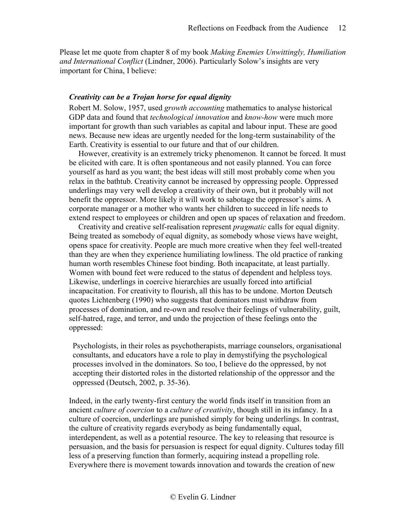Please let me quote from chapter 8 of my book *Making Enemies Unwittingly, Humiliation and International Conflict* (Lindner, 2006). Particularly Solow's insights are very important for China, I believe:

## *Creativity can be a Trojan horse for equal dignity*

Robert M. Solow, 1957, used *growth accounting* mathematics to analyse historical GDP data and found that *technological innovation* and *know-how* were much more important for growth than such variables as capital and labour input. These are good news. Because new ideas are urgently needed for the long-term sustainability of the Earth. Creativity is essential to our future and that of our children.

However, creativity is an extremely tricky phenomenon. It cannot be forced. It must be elicited with care. It is often spontaneous and not easily planned. You can force yourself as hard as you want; the best ideas will still most probably come when you relax in the bathtub. Creativity cannot be increased by oppressing people. Oppressed underlings may very well develop a creativity of their own, but it probably will not benefit the oppressor. More likely it will work to sabotage the oppressor's aims. A corporate manager or a mother who wants her children to succeed in life needs to extend respect to employees or children and open up spaces of relaxation and freedom.

Creativity and creative self-realisation represent *pragmatic* calls for equal dignity. Being treated as somebody of equal dignity, as somebody whose views have weight, opens space for creativity. People are much more creative when they feel well-treated than they are when they experience humiliating lowliness. The old practice of ranking human worth resembles Chinese foot binding. Both incapacitate, at least partially. Women with bound feet were reduced to the status of dependent and helpless toys. Likewise, underlings in coercive hierarchies are usually forced into artificial incapacitation. For creativity to flourish, all this has to be undone. Morton Deutsch quotes Lichtenberg (1990) who suggests that dominators must withdraw from processes of domination, and re-own and resolve their feelings of vulnerability, guilt, self-hatred, rage, and terror, and undo the projection of these feelings onto the oppressed:

Psychologists, in their roles as psychotherapists, marriage counselors, organisational consultants, and educators have a role to play in demystifying the psychological processes involved in the dominators. So too, I believe do the oppressed, by not accepting their distorted roles in the distorted relationship of the oppressor and the oppressed (Deutsch, 2002, p. 35-36).

Indeed, in the early twenty-first century the world finds itself in transition from an ancient *culture of coercion* to a *culture of creativity*, though still in its infancy. In a culture of coercion, underlings are punished simply for being underlings. In contrast, the culture of creativity regards everybody as being fundamentally equal, interdependent, as well as a potential resource. The key to releasing that resource is persuasion, and the basis for persuasion is respect for equal dignity. Cultures today fill less of a preserving function than formerly, acquiring instead a propelling role. Everywhere there is movement towards innovation and towards the creation of new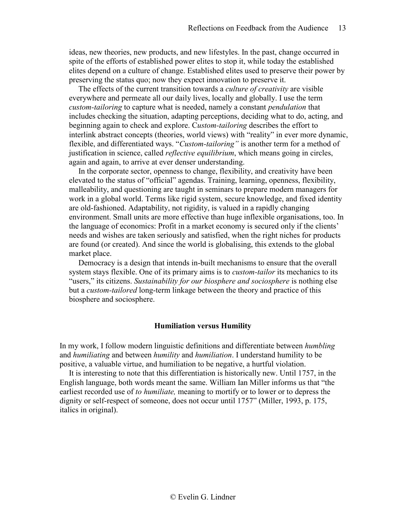ideas, new theories, new products, and new lifestyles. In the past, change occurred in spite of the efforts of established power elites to stop it, while today the established elites depend on a culture of change. Established elites used to preserve their power by preserving the status quo; now they expect innovation to preserve it.

The effects of the current transition towards a *culture of creativity* are visible everywhere and permeate all our daily lives, locally and globally. I use the term *custom-tailoring* to capture what is needed, namely a constant *pendulation* that includes checking the situation, adapting perceptions, deciding what to do, acting, and beginning again to check and explore. C*ustom-tailoring* describes the effort to interlink abstract concepts (theories, world views) with "reality" in ever more dynamic, flexible, and differentiated ways. "*Custom-tailoring"* is another term for a method of justification in science, called *reflective equilibrium*, which means going in circles, again and again, to arrive at ever denser understanding.

In the corporate sector, openness to change, flexibility, and creativity have been elevated to the status of "official" agendas. Training, learning, openness, flexibility, malleability, and questioning are taught in seminars to prepare modern managers for work in a global world. Terms like rigid system, secure knowledge, and fixed identity are old-fashioned. Adaptability, not rigidity, is valued in a rapidly changing environment. Small units are more effective than huge inflexible organisations, too. In the language of economics: Profit in a market economy is secured only if the clients' needs and wishes are taken seriously and satisfied, when the right niches for products are found (or created). And since the world is globalising, this extends to the global market place.

Democracy is a design that intends in-built mechanisms to ensure that the overall system stays flexible. One of its primary aims is to *custom-tailor* its mechanics to its "users," its citizens. *Sustainability for our biosphere and sociosphere* is nothing else but a *custom-tailored* long-term linkage between the theory and practice of this biosphere and sociosphere.

#### **Humiliation versus Humility**

<span id="page-12-0"></span>In my work, I follow modern linguistic definitions and differentiate between *humbling* and *humiliating* and between *humility* and *humiliation*. I understand humility to be positive, a valuable virtue, and humiliation to be negative, a hurtful violation.

It is interesting to note that this differentiation is historically new. Until 1757, in the English language, both words meant the same. William Ian Miller informs us that "the earliest recorded use of *to humiliate,* meaning to mortify or to lower or to depress the dignity or self-respect of someone, does not occur until 1757" (Miller, 1993, p. 175, italics in original).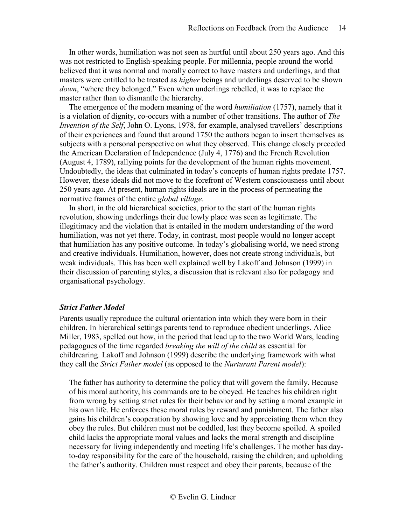In other words, humiliation was not seen as hurtful until about 250 years ago. And this was not restricted to English-speaking people. For millennia, people around the world believed that it was normal and morally correct to have masters and underlings, and that masters were entitled to be treated as *higher* beings and underlings deserved to be shown *down*, "where they belonged." Even when underlings rebelled, it was to replace the master rather than to dismantle the hierarchy.

The emergence of the modern meaning of the word *humiliation* (1757), namely that it is a violation of dignity, co-occurs with a number of other transitions. The author of *The Invention of the Self*, John O. Lyons, 1978, for example, analysed travellers' descriptions of their experiences and found that around 1750 the authors began to insert themselves as subjects with a personal perspective on what they observed. This change closely preceded the American Declaration of Independence (July 4, 1776) and the French Revolution (August 4, 1789), rallying points for the development of the human rights movement. Undoubtedly, the ideas that culminated in today's concepts of human rights predate 1757. However, these ideals did not move to the forefront of Western consciousness until about 250 years ago. At present, human rights ideals are in the process of permeating the normative frames of the entire *global village*.

In short, in the old hierarchical societies, prior to the start of the human rights revolution, showing underlings their due lowly place was seen as legitimate. The illegitimacy and the violation that is entailed in the modern understanding of the word humiliation, was not yet there. Today, in contrast, most people would no longer accept that humiliation has any positive outcome. In today's globalising world, we need strong and creative individuals. Humiliation, however, does not create strong individuals, but weak individuals. This has been well explained well by Lakoff and Johnson (1999) in their discussion of parenting styles, a discussion that is relevant also for pedagogy and organisational psychology.

#### *Strict Father Model*

Parents usually reproduce the cultural orientation into which they were born in their children. In hierarchical settings parents tend to reproduce obedient underlings. Alice Miller, 1983, spelled out how, in the period that lead up to the two World Wars, leading pedagogues of the time regarded *breaking the will of the child* as essential for childrearing. Lakoff and Johnson (1999) describe the underlying framework with what they call the *Strict Father model* (as opposed to the *Nurturant Parent model*):

The father has authority to determine the policy that will govern the family. Because of his moral authority, his commands are to be obeyed. He teaches his children right from wrong by setting strict rules for their behavior and by setting a moral example in his own life. He enforces these moral rules by reward and punishment. The father also gains his children's cooperation by showing love and by appreciating them when they obey the rules. But children must not be coddled, lest they become spoiled. A spoiled child lacks the appropriate moral values and lacks the moral strength and discipline necessary for living independently and meeting life's challenges. The mother has dayto-day responsibility for the care of the household, raising the children; and upholding the father's authority. Children must respect and obey their parents, because of the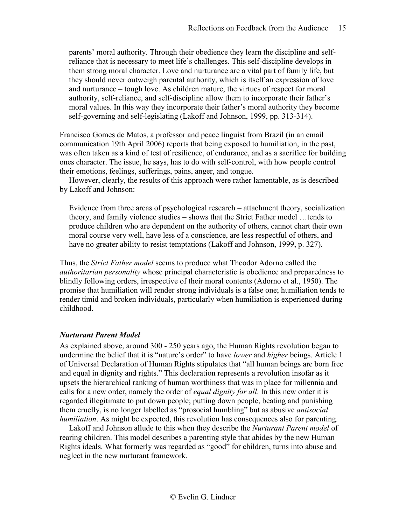parents' moral authority. Through their obedience they learn the discipline and selfreliance that is necessary to meet life's challenges. This self-discipline develops in them strong moral character. Love and nurturance are a vital part of family life, but they should never outweigh parental authority, which is itself an expression of love and nurturance – tough love. As children mature, the virtues of respect for moral authority, self-reliance, and self-discipline allow them to incorporate their father's moral values. In this way they incorporate their father's moral authority they become self-governing and self-legislating (Lakoff and Johnson, 1999, pp. 313-314).

Francisco Gomes de Matos, a professor and peace linguist from Brazil (in an email communication 19th April 2006) reports that being exposed to humiliation, in the past, was often taken as a kind of test of resilience, of endurance, and as a sacrifice for building ones character. The issue, he says, has to do with self-control, with how people control their emotions, feelings, sufferings, pains, anger, and tongue.

However, clearly, the results of this approach were rather lamentable, as is described by Lakoff and Johnson:

Evidence from three areas of psychological research – attachment theory, socialization theory, and family violence studies – shows that the Strict Father model …tends to produce children who are dependent on the authority of others, cannot chart their own moral course very well, have less of a conscience, are less respectful of others, and have no greater ability to resist temptations (Lakoff and Johnson, 1999, p. 327).

Thus, the *Strict Father model* seems to produce what Theodor Adorno called the *authoritarian personality* whose principal characteristic is obedience and preparedness to blindly following orders, irrespective of their moral contents (Adorno et al., 1950). The promise that humiliation will render strong individuals is a false one; humiliation tends to render timid and broken individuals, particularly when humiliation is experienced during childhood.

## *Nurturant Parent Model*

As explained above, around 300 - 250 years ago, the Human Rights revolution began to undermine the belief that it is "nature's order" to have *lower* and *higher* beings. Article 1 of Universal Declaration of Human Rights stipulates that "all human beings are born free and equal in dignity and rights." This declaration represents a revolution insofar as it upsets the hierarchical ranking of human worthiness that was in place for millennia and calls for a new order, namely the order of *equal dignity for all*. In this new order it is regarded illegitimate to put down people; putting down people, beating and punishing them cruelly, is no longer labelled as "prosocial humbling" but as abusive *antisocial humiliation*. As might be expected, this revolution has consequences also for parenting.

Lakoff and Johnson allude to this when they describe the *Nurturant Parent model* of rearing children. This model describes a parenting style that abides by the new Human Rights ideals. What formerly was regarded as "good" for children, turns into abuse and neglect in the new nurturant framework.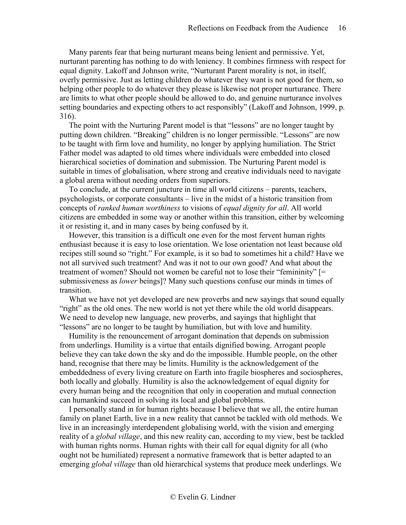Many parents fear that being nurturant means being lenient and permissive. Yet, nurturant parenting has nothing to do with leniency. It combines firmness with respect for equal dignity. Lakoff and Johnson write, "Nurturant Parent morality is not, in itself, overly permissive. Just as letting children do whatever they want is not good for them, so helping other people to do whatever they please is likewise not proper nurturance. There are limits to what other people should be allowed to do, and genuine nurturance involves setting boundaries and expecting others to act responsibly" (Lakoff and Johnson, 1999, p. 316).

The point with the Nurturing Parent model is that "lessons" are no longer taught by putting down children. "Breaking" children is no longer permissible. "Lessons" are now to be taught with firm love and humility, no longer by applying humiliation. The Strict Father model was adapted to old times where individuals were embedded into closed hierarchical societies of domination and submission. The Nurturing Parent model is suitable in times of globalisation, where strong and creative individuals need to navigate a global arena without needing orders from superiors.

To conclude, at the current juncture in time all world citizens – parents, teachers, psychologists, or corporate consultants – live in the midst of a historic transition from concepts of *ranked human worthiness* to visions of *equal dignity for all*. All world citizens are embedded in some way or another within this transition, either by welcoming it or resisting it, and in many cases by being confused by it.

However, this transition is a difficult one even for the most fervent human rights enthusiast because it is easy to lose orientation. We lose orientation not least because old recipes still sound so "right." For example, is it so bad to sometimes hit a child? Have we not all survived such treatment? And was it not to our own good? And what about the treatment of women? Should not women be careful not to lose their "femininity" [= submissiveness as *lower* beings]? Many such questions confuse our minds in times of transition.

What we have not yet developed are new proverbs and new sayings that sound equally "right" as the old ones. The new world is not yet there while the old world disappears. We need to develop new language, new proverbs, and sayings that highlight that "lessons" are no longer to be taught by humiliation, but with love and humility.

Humility is the renouncement of arrogant domination that depends on submission from underlings. Humility is a virtue that entails dignified bowing. Arrogant people believe they can take down the sky and do the impossible. Humble people, on the other hand, recognise that there may be limits. Humility is the acknowledgement of the embeddedness of every living creature on Earth into fragile biospheres and sociospheres, both locally and globally. Humility is also the acknowledgement of equal dignity for every human being and the recognition that only in cooperation and mutual connection can humankind succeed in solving its local and global problems.

I personally stand in for human rights because I believe that we all, the entire human family on planet Earth, live in a new reality that cannot be tackled with old methods. We live in an increasingly interdependent globalising world, with the vision and emerging reality of a *global village*, and this new reality can, according to my view, best be tackled with human rights norms. Human rights with their call for equal dignity for all (who ought not be humiliated) represent a normative framework that is better adapted to an emerging *global village* than old hierarchical systems that produce meek underlings. We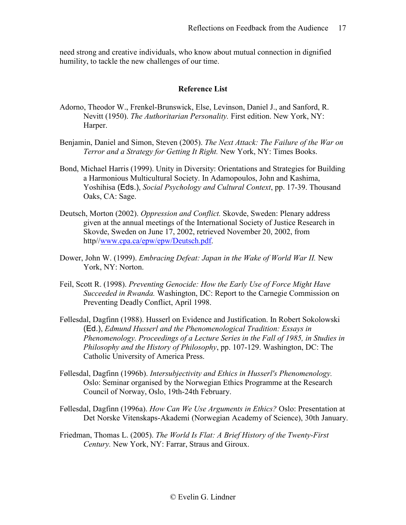need strong and creative individuals, who know about mutual connection in dignified humility, to tackle the new challenges of our time.

## **Reference List**

- Adorno, Theodor W., Frenkel-Brunswick, Else, Levinson, Daniel J., and Sanford, R. Nevitt (1950). *The Authoritarian Personality.* First edition. New York, NY: Harper.
- Benjamin, Daniel and Simon, Steven (2005). *The Next Attack: The Failure of the War on Terror and a Strategy for Getting It Right.* New York, NY: Times Books.
- Bond, Michael Harris (1999). Unity in Diversity: Orientations and Strategies for Building a Harmonious Multicultural Society. In Adamopoulos, John and Kashima, Yoshihisa (Eds.), *Social Psychology and Cultural Context*, pp. 17-39. Thousand Oaks, CA: Sage.
- Deutsch, Morton (2002). *Oppression and Conflict.* Skovde, Sweden: Plenary address given at the annual meetings of the International Society of Justice Research in Skovde, Sweden on June 17, 2002, retrieved November 20, 2002, from http/[/www.cpa.ca/epw/epw/Deutsch.pdf.](http://www.cpa.ca/epw/epw/Deutsch.pdf)
- Dower, John W. (1999). *Embracing Defeat: Japan in the Wake of World War II.* New York, NY: Norton.
- Feil, Scott R. (1998). *Preventing Genocide: How the Early Use of Force Might Have Succeeded in Rwanda.* Washington, DC: Report to the Carnegie Commission on Preventing Deadly Conflict, April 1998.
- Føllesdal, Dagfinn (1988). Husserl on Evidence and Justification. In Robert Sokolowski (Ed.), *Edmund Husserl and the Phenomenological Tradition: Essays in Phenomenology. Proceedings of a Lecture Series in the Fall of 1985, in Studies in Philosophy and the History of Philosophy*, pp. 107-129. Washington, DC: The Catholic University of America Press.
- Føllesdal, Dagfinn (1996b). *Intersubjectivity and Ethics in Husserl's Phenomenology.*  Oslo: Seminar organised by the Norwegian Ethics Programme at the Research Council of Norway, Oslo, 19th-24th February.
- Føllesdal, Dagfinn (1996a). *How Can We Use Arguments in Ethics?* Oslo: Presentation at Det Norske Vitenskaps-Akademi (Norwegian Academy of Science), 30th January.
- Friedman, Thomas L. (2005). *The World Is Flat: A Brief History of the Twenty-First Century.* New York, NY: Farrar, Straus and Giroux.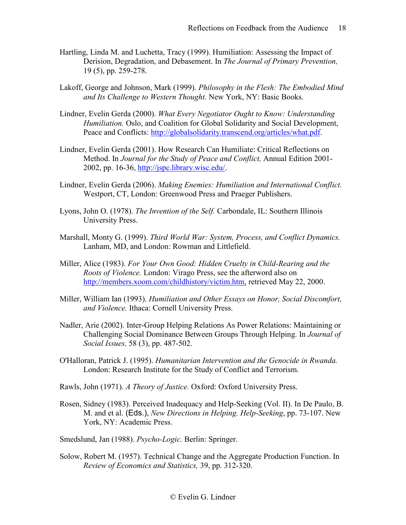- Hartling, Linda M. and Luchetta, Tracy (1999). Humiliation: Assessing the Impact of Derision, Degradation, and Debasement. In *The Journal of Primary Prevention,*  19 (5), pp. 259-278.
- Lakoff, George and Johnson, Mark (1999). *Philosophy in the Flesh: The Embodied Mind and Its Challenge to Western Thought.* New York, NY: Basic Books.
- Lindner, Evelin Gerda (2000). *What Every Negotiator Ought to Know: Understanding Humiliation.* Oslo, and Coalition for Global Solidarity and Social Development, Peace and Conflicts: [http://globalsolidarity.transcend.org/articles/what.pdf.](http://globalsolidarity.transcend.org/articles/what.pdf)
- Lindner, Evelin Gerda (2001). How Research Can Humiliate: Critical Reflections on Method. In *Journal for the Study of Peace and Conflict,* Annual Edition 2001- 2002, pp. 16-36, [http://jspc.library.wisc.edu/.](http://jspc.library.wisc.edu/)
- Lindner, Evelin Gerda (2006). *Making Enemies: Humiliation and International Conflict.*  Westport, CT, London: Greenwood Press and Praeger Publishers.
- Lyons, John O. (1978). *The Invention of the Self.* Carbondale, IL: Southern Illinois University Press.
- Marshall, Monty G. (1999). *Third World War: System, Process, and Conflict Dynamics.*  Lanham, MD, and London: Rowman and Littlefield.
- Miller, Alice (1983). *For Your Own Good: Hidden Cruelty in Child-Rearing and the Roots of Violence.* London: Virago Press, see the afterword also on <http://members.xoom.com/childhistory/victim.htm,> retrieved May 22, 2000.
- Miller, William Ian (1993). *Humiliation and Other Essays on Honor, Social Discomfort, and Violence.* Ithaca: Cornell University Press.
- Nadler, Arie (2002). Inter-Group Helping Relations As Power Relations: Maintaining or Challenging Social Dominance Between Groups Through Helping. In *Journal of Social Issues,* 58 (3), pp. 487-502.
- O'Halloran, Patrick J. (1995). *Humanitarian Intervention and the Genocide in Rwanda.*  London: Research Institute for the Study of Conflict and Terrorism.
- Rawls, John (1971). *A Theory of Justice.* Oxford: Oxford University Press.
- Rosen, Sidney (1983). Perceived Inadequacy and Help-Seeking (Vol. II). In De Paulo, B. M. and et al. (Eds.), *New Directions in Helping. Help-Seeking*, pp. 73-107. New York, NY: Academic Press.
- Smedslund, Jan (1988). *Psycho-Logic.* Berlin: Springer.
- Solow, Robert M. (1957). Technical Change and the Aggregate Production Function. In *Review of Economics and Statistics,* 39, pp. 312-320.